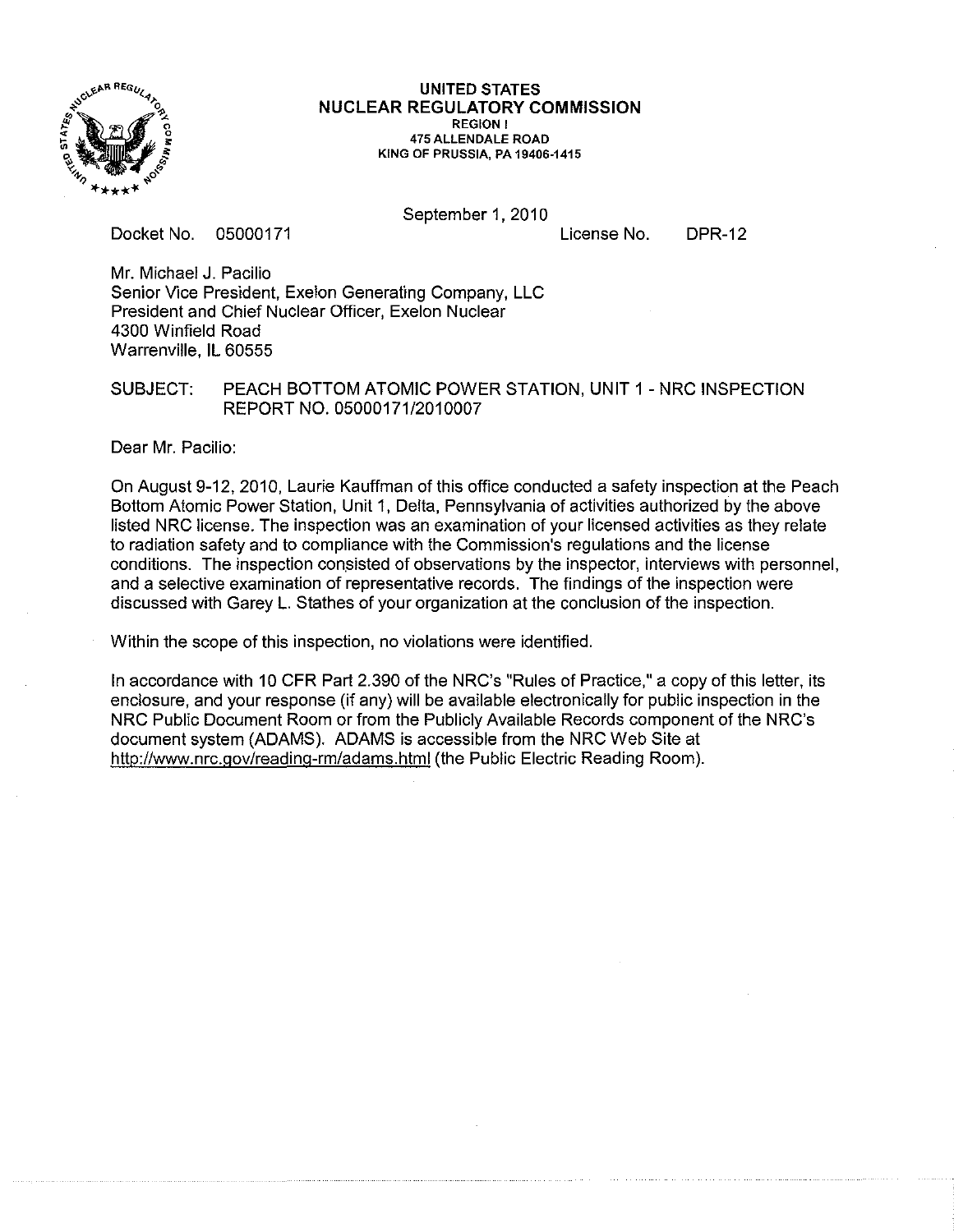

**UNITED STATES NUCLEAR REGULATORY COMMISSION**  REGION I 475 ALLENDALE ROAD KING OF PRUSSIA, PA 19406-1415

Docket No, 05000171

September 1, 2010

License No,

DPR-12

Mr. Michael J. Pacilio Senior Vice President, Exelon Generating Company, LLC President and Chief Nuclear Officer, Exelon Nuclear 4300 Winfield Road Warrenville, IL 60555

## SUBJECT: PEACH BOTTOM ATOMIC POWER STATION, UNIT 1 - NRC INSPECTION REPORT NO. 05000171/2010007

Dear Mr. Pacilio:

On August 9-12, 2010, Laurie Kauffman of this office conducted a safety inspection at the Peach Bottom Atomic Power Station, Unit 1, Delta, Pennsylvania of activities authorized by the above listed NRC license. The inspection was an examination of your licensed activities as they relate to radiation safety and to compliance with the Commission's regulations and the license conditions. The inspection consisted of observations by the inspector, interviews with personnel, and a selective examination of representative records. The findings of the inspection were discussed with Garey L. Stathes of your organization at the conclusion of the inspection.

Within the scope of this inspection, no violations were identified.

In accordance with 10 CFR Part 2.390 of the NRC's "Rules of Practice," a copy of this letter, its enclosure, and your response (if any) will be available electronically for public inspection in the NRC Public Document Room or from the Publicly Available Records component of the NRC's document system (ADAMS). ADAMS is accessible from the NRC Web Site at http://www.nrc.gov/reading-rm/adams.html(the Public Electric Reading Room).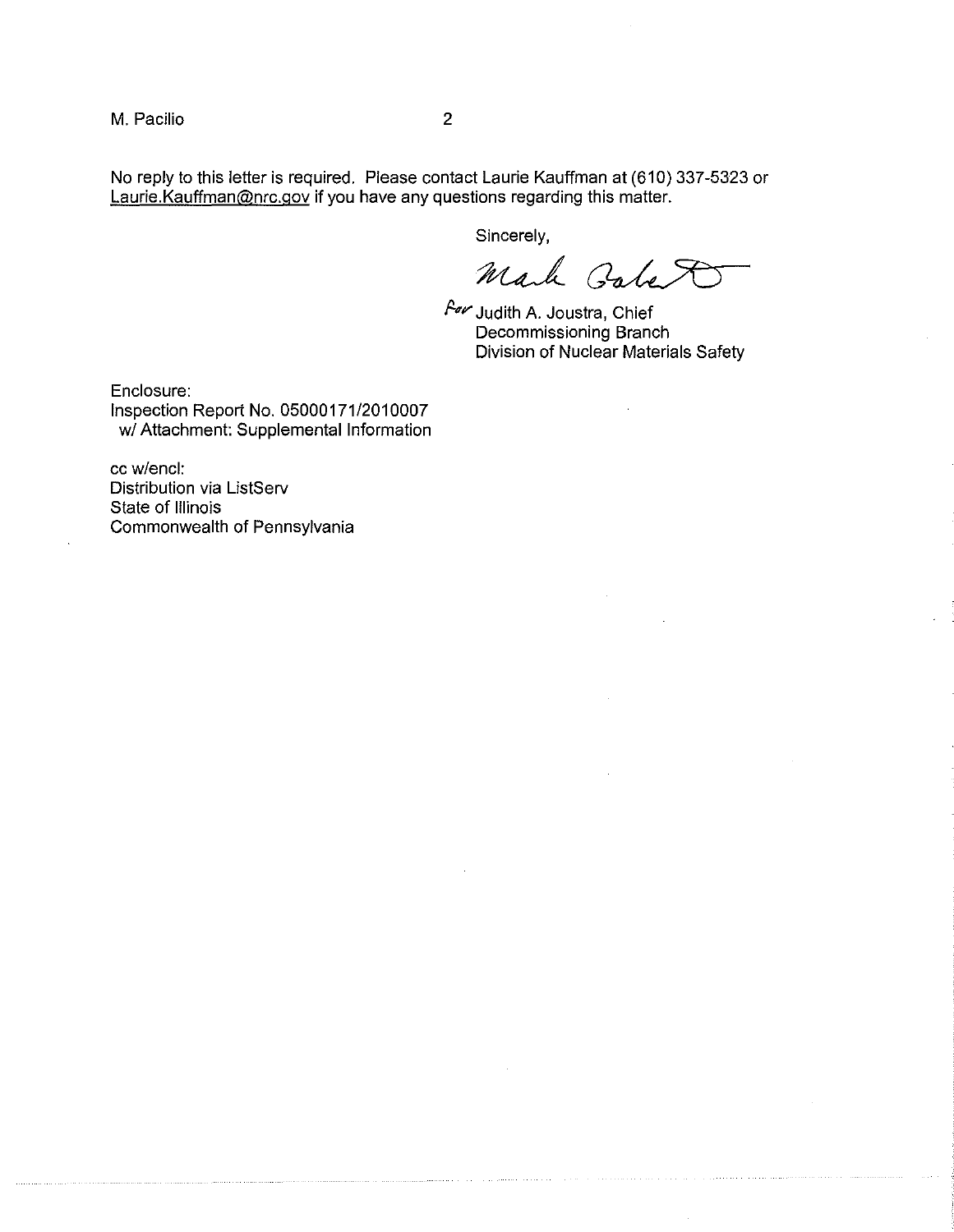M. Pacilio 2

No reply to this letter is required. Please contact Laurie Kauffman at (610) 337-5323 or Laurie.Kauffman@nrc.gov if you have any questions regarding this matter.

Sincerely,

Mark Gabet

 $~$  A $\prime\prime$  Judith A. Joustra, Chief Decommissioning Branch Division of Nuclear Materials Safety

Enclosure: Inspection Report No. *05000171/2010007 wi* Attachment: Supplemental Information

cc wlencl: Distribution via ListServ State of Illinois Commonwealth of Pennsylvania